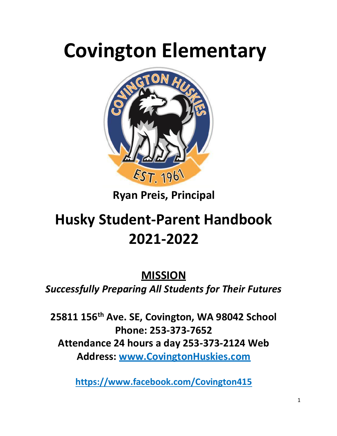# **Covington Elementary**



**Ryan Preis, Principal** 

## **Husky Student-Parent Handbook 2021-2022**

**MISSION** *Successfully Preparing All Students for Their Futures*

**25811 156th Ave. SE, Covington, WA 98042 School Phone: 253-373-7652 Attendance 24 hours a day 253-373-2124 Web Address: [www.CovingtonHuskies.com](http://www.covingtonhuskies.com/)**

**<https://www.facebook.com/Covington415>**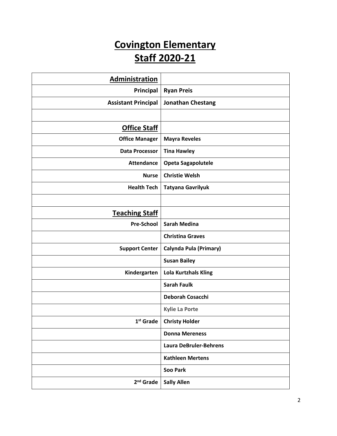## **Covington Elementary Staff 2020-21**

| Administration             |                               |  |  |
|----------------------------|-------------------------------|--|--|
| Principal                  | <b>Ryan Preis</b>             |  |  |
| <b>Assistant Principal</b> | <b>Jonathan Chestang</b>      |  |  |
|                            |                               |  |  |
| <b>Office Staff</b>        |                               |  |  |
| <b>Office Manager</b>      | <b>Mayra Reveles</b>          |  |  |
| <b>Data Processor</b>      | <b>Tina Hawley</b>            |  |  |
| <b>Attendance</b>          | <b>Opeta Sagapolutele</b>     |  |  |
| <b>Nurse</b>               | <b>Christie Welsh</b>         |  |  |
| <b>Health Tech</b>         | <b>Tatyana Gavrilyuk</b>      |  |  |
|                            |                               |  |  |
| <b>Teaching Staff</b>      |                               |  |  |
| <b>Pre-School</b>          | <b>Sarah Medina</b>           |  |  |
|                            | <b>Christina Graves</b>       |  |  |
| <b>Support Center</b>      | Calynda Pula (Primary)        |  |  |
|                            | <b>Susan Bailey</b>           |  |  |
| Kindergarten               | <b>Lola Kurtzhals Kling</b>   |  |  |
|                            | <b>Sarah Faulk</b>            |  |  |
|                            | Deborah Cosacchi              |  |  |
|                            | <b>Kylie La Porte</b>         |  |  |
| $1st$ Grade                | <b>Christy Holder</b>         |  |  |
|                            | <b>Donna Mereness</b>         |  |  |
|                            | <b>Laura DeBruler-Behrens</b> |  |  |
|                            | <b>Kathleen Mertens</b>       |  |  |
|                            | <b>Soo Park</b>               |  |  |
| 2 <sup>nd</sup> Grade      | <b>Sally Allen</b>            |  |  |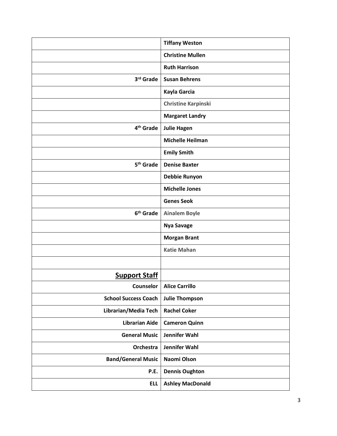|                             | <b>Tiffany Weston</b>      |
|-----------------------------|----------------------------|
|                             | <b>Christine Mullen</b>    |
|                             | <b>Ruth Harrison</b>       |
| 3rd Grade                   | <b>Susan Behrens</b>       |
|                             | Kayla Garcia               |
|                             | <b>Christine Karpinski</b> |
|                             | <b>Margaret Landry</b>     |
| 4 <sup>th</sup> Grade       | <b>Julie Hagen</b>         |
|                             | <b>Michelle Heilman</b>    |
|                             | <b>Emily Smith</b>         |
| 5 <sup>th</sup> Grade       | <b>Denise Baxter</b>       |
|                             | Debbie Runyon              |
|                             | <b>Michelle Jones</b>      |
|                             | <b>Genes Seok</b>          |
| 6 <sup>th</sup> Grade       | <b>Ainalem Boyle</b>       |
|                             | <b>Nya Savage</b>          |
|                             | <b>Morgan Brant</b>        |
|                             | <b>Katie Mahan</b>         |
|                             |                            |
| <b>Support Staff</b>        |                            |
| Counselor                   | <b>Alice Carrillo</b>      |
| <b>School Success Coach</b> | <b>Julie Thompson</b>      |
| Librarian/Media Tech        | <b>Rachel Coker</b>        |
| <b>Librarian Aide</b>       | <b>Cameron Quinn</b>       |
| <b>General Music</b>        | Jennifer Wahl              |
| Orchestra                   | Jennifer Wahl              |
| <b>Band/General Music</b>   | Naomi Olson                |
| P.E.                        | <b>Dennis Oughton</b>      |
| <b>ELL</b>                  | <b>Ashley MacDonald</b>    |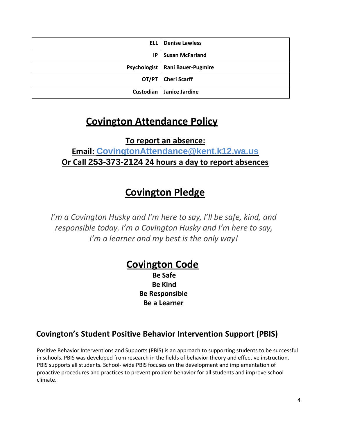| ell i | <b>Denise Lawless</b>             |
|-------|-----------------------------------|
| IP.   | <b>Susan McFarland</b>            |
|       | Psychologist   Rani Bauer-Pugmire |
|       | OT/PT   Cheri Scarff              |
|       | Custodian   Janice Jardine        |

## **Covington Attendance Policy**

#### **To report an absence: Email: [CovingtonAttendance@kent.k12.wa.us](mailto:CovingtonAttendance@kent.k12.wa.us) Or Call 253-373-2124 24 hours a day to report absences**

## **Covington Pledge**

*I'm a Covington Husky and I'm here to say, I'll be safe, kind, and responsible today. I'm a Covington Husky and I'm here to say, I'm a learner and my best is the only way!*

## **Covington Code**

**Be Safe Be Kind Be Responsible Be a Learner**

### **Covington's Student Positive Behavior Intervention Support (PBIS)**

Positive Behavior Interventions and Supports (PBIS) is an approach to supporting students to be successful in schools. PBIS was developed from research in the fields of behavior theory and effective instruction. PBIS supports all students. School- wide PBIS focuses on the development and implementation of proactive procedures and practices to prevent problem behavior for all students and improve school climate.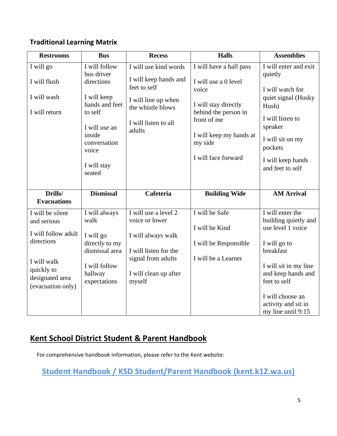#### **Traditional Learning Matrix**

| <b>Bus</b>                                                                                                                                                         | <b>Recess</b>                                                                                                                                  | <b>Halls</b>                                                                                                                                                                         | <b>Assemblies</b>                                                                                                                                                                                    |
|--------------------------------------------------------------------------------------------------------------------------------------------------------------------|------------------------------------------------------------------------------------------------------------------------------------------------|--------------------------------------------------------------------------------------------------------------------------------------------------------------------------------------|------------------------------------------------------------------------------------------------------------------------------------------------------------------------------------------------------|
| I will follow<br>bus driver<br>directions<br>I will keep<br>hands and feet<br>to self<br>I will use an<br>inside<br>conversation<br>voice<br>I will stay<br>seated | I will use kind words<br>I will keep hands and<br>feet to self<br>I will line up when<br>the whistle blows<br>I will listen to all<br>adults   | I will have a hall pass<br>I will use a 0 level<br>voice<br>I will stay directly<br>behind the person in<br>front of me<br>I will keep my hands at<br>my side<br>I will face forward | I will enter and exit<br>quietly<br>I will watch for<br>quiet signal (Husky<br>Hush)<br>I will listen to<br>speaker<br>I will sit on my<br>pockets<br>I will keep hands<br>and feet to self          |
| <b>Dismissal</b>                                                                                                                                                   | Cafeteria                                                                                                                                      | <b>Building Wide</b>                                                                                                                                                                 | <b>AM Arrival</b>                                                                                                                                                                                    |
| I will always<br>walk<br>I will go<br>directly to my<br>dismissal area<br>I will follow<br>hallway<br>expectations                                                 | I will use a level 2<br>voice or lower<br>I will always walk<br>I will listen for the<br>signal from adults<br>I will clean up after<br>myself | I will be Safe<br>I will be Kind<br>I will be Responsible<br>I will be a Learner                                                                                                     | I will enter the<br>building quietly and<br>use level 1 voice<br>I will go to<br>breakfast<br>I will sit in my line<br>and keep hands and<br>feet to self<br>I will choose an<br>activity and sit in |
|                                                                                                                                                                    |                                                                                                                                                |                                                                                                                                                                                      |                                                                                                                                                                                                      |

#### **Kent School District Student & Parent Handbook**

For comprehensive handbook information, please refer to the Kent website:

**[Student Handbook / KSD Student/Parent Handbook \(kent.k12.wa.us\)](https://www.kent.k12.wa.us/Page/11782)**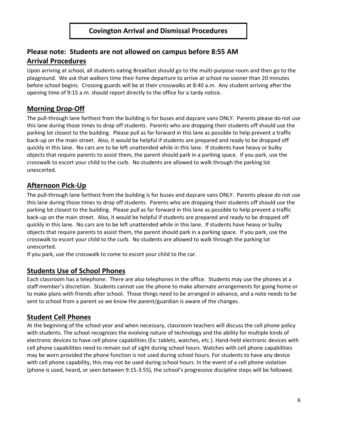#### **Please note: Students are not allowed on campus before 8:55 AM Arrival Procedures**

Upon arriving at school, all students eating Breakfast should go to the multi-purpose room and then go to the playground. We ask that walkers time their home departure to arrive at school no sooner than 20 minutes before school begins. Crossing guards will be at their crosswalks at 8:40 a.m. Any student arriving after the opening time of 9:15 a.m. should report directly to the office for a tardy notice.

#### **Morning Drop-Off**

The pull-through lane farthest from the building is for buses and daycare vans ONLY. Parents please do not use this lane during those times to drop off students. Parents who are dropping their students off should use the parking lot closest to the building. Please pull as far forward in this lane as possible to help prevent a traffic back-up on the main street. Also, it would be helpful if students are prepared and ready to be dropped off quickly in this lane. No cars are to be left unattended while in this lane. If students have heavy or bulky objects that require parents to assist them, the parent should park in a parking space. If you park, use the crosswalk to escort your child to the curb. No students are allowed to walk through the parking lot unescorted.

#### **Afternoon Pick-Up**

The pull-through lane farthest from the building is for buses and daycare vans ONLY. Parents please do not use this lane during those times to drop off students. Parents who are dropping their students off should use the parking lot closest to the building. Please pull as far forward in this lane as possible to help prevent a traffic back-up on the main street. Also, it would be helpful if students are prepared and ready to be dropped off quickly in this lane. No cars are to be left unattended while in this lane. If students have heavy or bulky objects that require parents to assist them, the parent should park in a parking space. If you park, use the crosswalk to escort your child to the curb. No students are allowed to walk through the parking lot unescorted.

If you park, use the crosswalk to come to escort your child to the car.

#### **Students Use of School Phones**

Each classroom has a telephone. There are also telephones in the office. Students may use the phones at a staff member's discretion. Students cannot use the phone to make alternate arrangements for going home or to make plans with friends after school. Those things need to be arranged in advance, and a note needs to be sent to school from a parent so we know the parent/guardian is aware of the changes.

#### **Student Cell Phones**

At the beginning of the school year and when necessary, classroom teachers will discuss the cell phone policy with students. The school recognizes the evolving nature of technology and the ability for multiple kinds of electronic devices to have cell phone capabilities (Ex: tablets, watches, etc.). Hand-held electronic devices with cell phone capabilities need to remain out of sight during school hours. Watches with cell phone capabilities may be worn provided the phone function is not used during school hours. For students to have any device with cell phone capability, this may not be used during school hours. In the event of a cell phone violation (phone is used, heard, or seen between 9:15-3:55), the school's progressive discipline steps will be followed.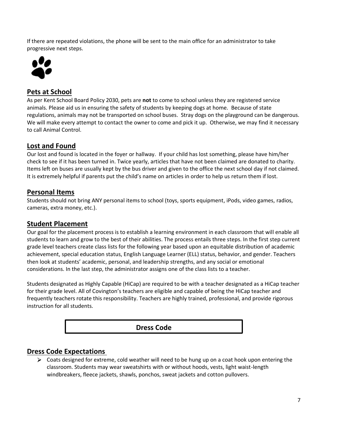If there are repeated violations, the phone will be sent to the main office for an administrator to take progressive next steps.



#### **Pets at School**

As per Kent School Board Policy 2030, pets are **not** to come to school unless they are registered service animals. Please aid us in ensuring the safety of students by keeping dogs at home. Because of state regulations, animals may not be transported on school buses. Stray dogs on the playground can be dangerous. We will make every attempt to contact the owner to come and pick it up. Otherwise, we may find it necessary to call Animal Control.

#### **Lost and Found**

Our lost and found is located in the foyer or hallway. If your child has lost something, please have him/her check to see if it has been turned in. Twice yearly, articles that have not been claimed are donated to charity. Items left on buses are usually kept by the bus driver and given to the office the next school day if not claimed. It is extremely helpful if parents put the child's name on articles in order to help us return them if lost.

#### **Personal Items**

Students should not bring ANY personal items to school (toys, sports equipment, iPods, video games, radios, cameras, extra money, etc.).

#### **Student Placement**

Our goal for the placement process is to establish a learning environment in each classroom that will enable all students to learn and grow to the best of their abilities. The process entails three steps. In the first step current grade level teachers create class lists for the following year based upon an equitable distribution of academic achievement, special education status, English Language Learner (ELL) status, behavior, and gender. Teachers then look at students' academic, personal, and leadership strengths, and any social or emotional considerations. In the last step, the administrator assigns one of the class lists to a teacher.

Students designated as Highly Capable (HiCap) are required to be with a teacher designated as a HiCap teacher for their grade level. All of Covington's teachers are eligible and capable of being the HiCap teacher and frequently teachers rotate this responsibility. Teachers are highly trained, professional, and provide rigorous instruction for all students.



#### **Dress Code Expectations**

 $\triangleright$  Coats designed for extreme, cold weather will need to be hung up on a coat hook upon entering the classroom. Students may wear sweatshirts with or without hoods, vests, light waist-length windbreakers, fleece jackets, shawls, ponchos, sweat jackets and cotton pullovers.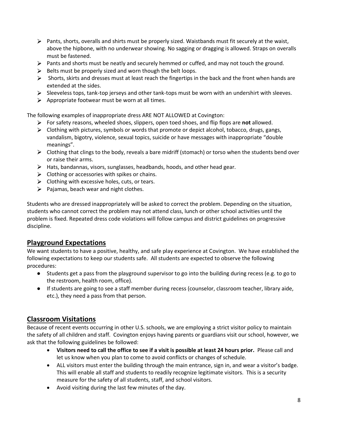- $\triangleright$  Pants, shorts, overalls and shirts must be properly sized. Waistbands must fit securely at the waist, above the hipbone, with no underwear showing. No sagging or dragging is allowed. Straps on overalls must be fastened.
- $\triangleright$  Pants and shorts must be neatly and securely hemmed or cuffed, and may not touch the ground.
- $\triangleright$  Belts must be properly sized and worn though the belt loops.
- $\triangleright$  Shorts, skirts and dresses must at least reach the fingertips in the back and the front when hands are extended at the sides.
- $\triangleright$  Sleeveless tops, tank-top jerseys and other tank-tops must be worn with an undershirt with sleeves.
- $\triangleright$  Appropriate footwear must be worn at all times.

The following examples of inappropriate dress ARE NOT ALLOWED at Covington:

- For safety reasons, wheeled shoes, slippers, open toed shoes, and flip flops are **not** allowed.
- $\triangleright$  Clothing with pictures, symbols or words that promote or depict alcohol, tobacco, drugs, gangs, vandalism, bigotry, violence, sexual topics, suicide or have messages with inappropriate "double meanings".
- $\triangleright$  Clothing that clings to the body, reveals a bare midriff (stomach) or torso when the students bend over or raise their arms.
- $\triangleright$  Hats, bandannas, visors, sunglasses, headbands, hoods, and other head gear.
- $\triangleright$  Clothing or accessories with spikes or chains.
- $\triangleright$  Clothing with excessive holes, cuts, or tears.
- $\triangleright$  Pajamas, beach wear and night clothes.

Students who are dressed inappropriately will be asked to correct the problem. Depending on the situation, students who cannot correct the problem may not attend class, lunch or other school activities until the problem is fixed. Repeated dress code violations will follow campus and district guidelines on progressive discipline.

#### **Playground Expectations**

We want students to have a positive, healthy, and safe play experience at Covington. We have established the following expectations to keep our students safe. All students are expected to observe the following procedures:

- Students get a pass from the playground supervisor to go into the building during recess (e.g. to go to the restroom, health room, office).
- If students are going to see a staff member during recess (counselor, classroom teacher, library aide, etc.), they need a pass from that person.

#### **Classroom Visitations**

Because of recent events occurring in other U.S. schools, we are employing a strict visitor policy to maintain the safety of all children and staff. Covington enjoys having parents or guardians visit our school, however, we ask that the following guidelines be followed:

- **Visitors need to call the office to see if a visit is possible at least 24 hours prior.** Please call and let us know when you plan to come to avoid conflicts or changes of schedule.
- ALL visitors must enter the building through the main entrance, sign in, and wear a visitor's badge. This will enable all staff and students to readily recognize legitimate visitors. This is a security measure for the safety of all students, staff, and school visitors.
- Avoid visiting during the last few minutes of the day.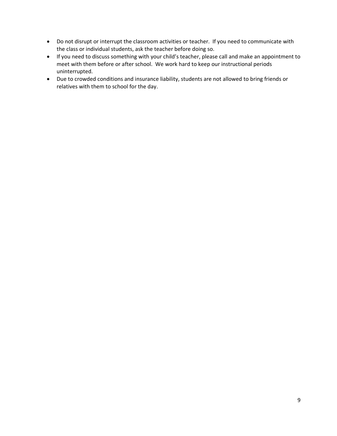- Do not disrupt or interrupt the classroom activities or teacher. If you need to communicate with the class or individual students, ask the teacher before doing so.
- If you need to discuss something with your child's teacher, please call and make an appointment to meet with them before or after school. We work hard to keep our instructional periods uninterrupted.
- Due to crowded conditions and insurance liability, students are not allowed to bring friends or relatives with them to school for the day.